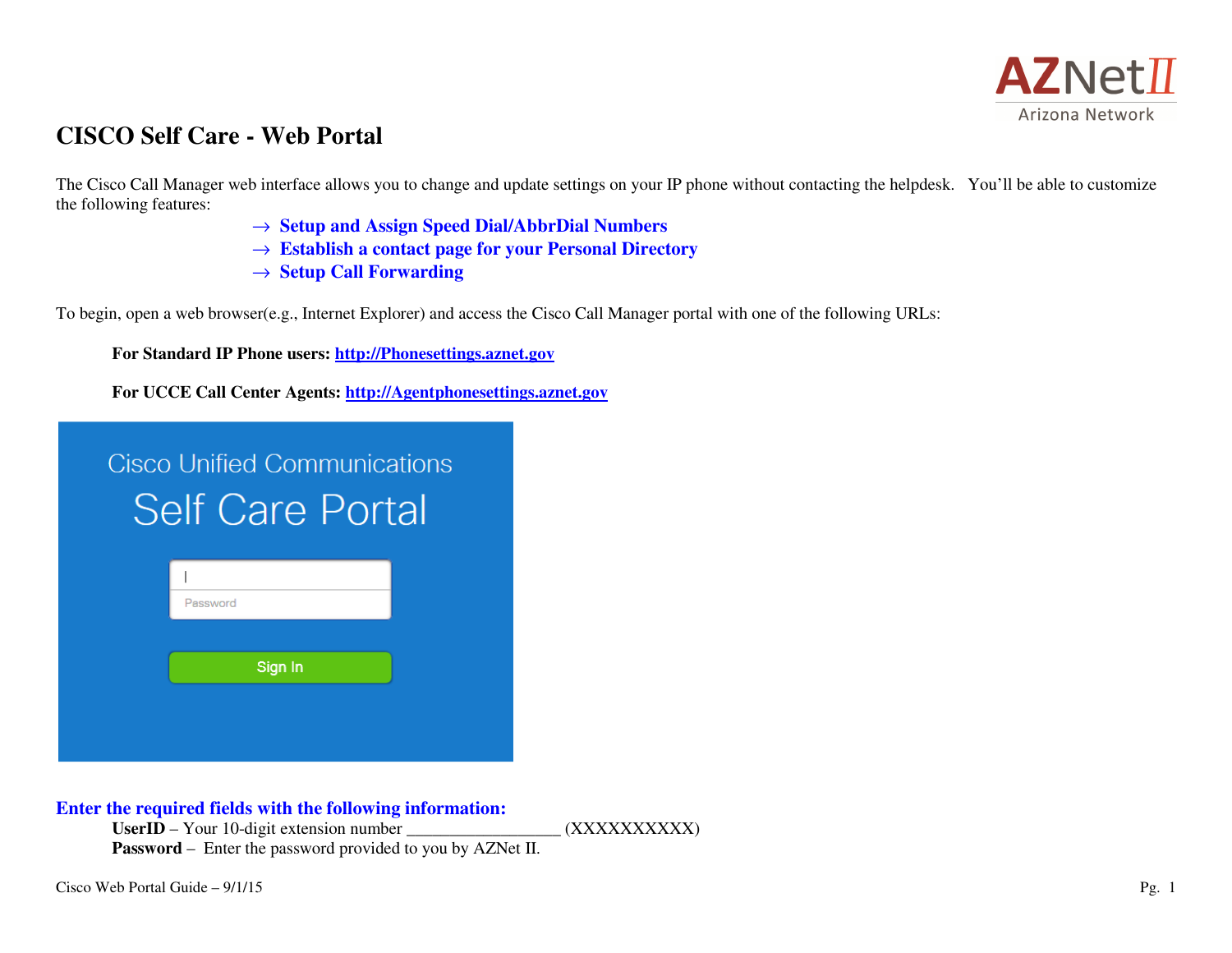

# **CISCO Self Care - Web Portal**

The Cisco Call Manager web interface allows you to change and update settings on your IP phone without contacting the helpdesk. You'll be able to customize the following features:

- → **Setup and Assign Speed Dial/AbbrDial Numbers**
- → **Establish a contact page for your Personal Directory**
- → **Setup Call Forwarding**

To begin, open a web browser(e.g., Internet Explorer) and access the Cisco Call Manager portal with one of the following URLs:

**For Standard IP Phone users: http://Phonesettings.aznet.gov**

**For UCCE Call Center Agents: http://Agentphonesettings.aznet.gov**

| Cisco Unified Communications |
|------------------------------|
| <b>Self Care Portal</b>      |

**Enter the required fields with the following information:** 

UserID – Your 10-digit extension number  $(XXXXXXX)$ **Password** – Enter the password provided to you by AZNet II.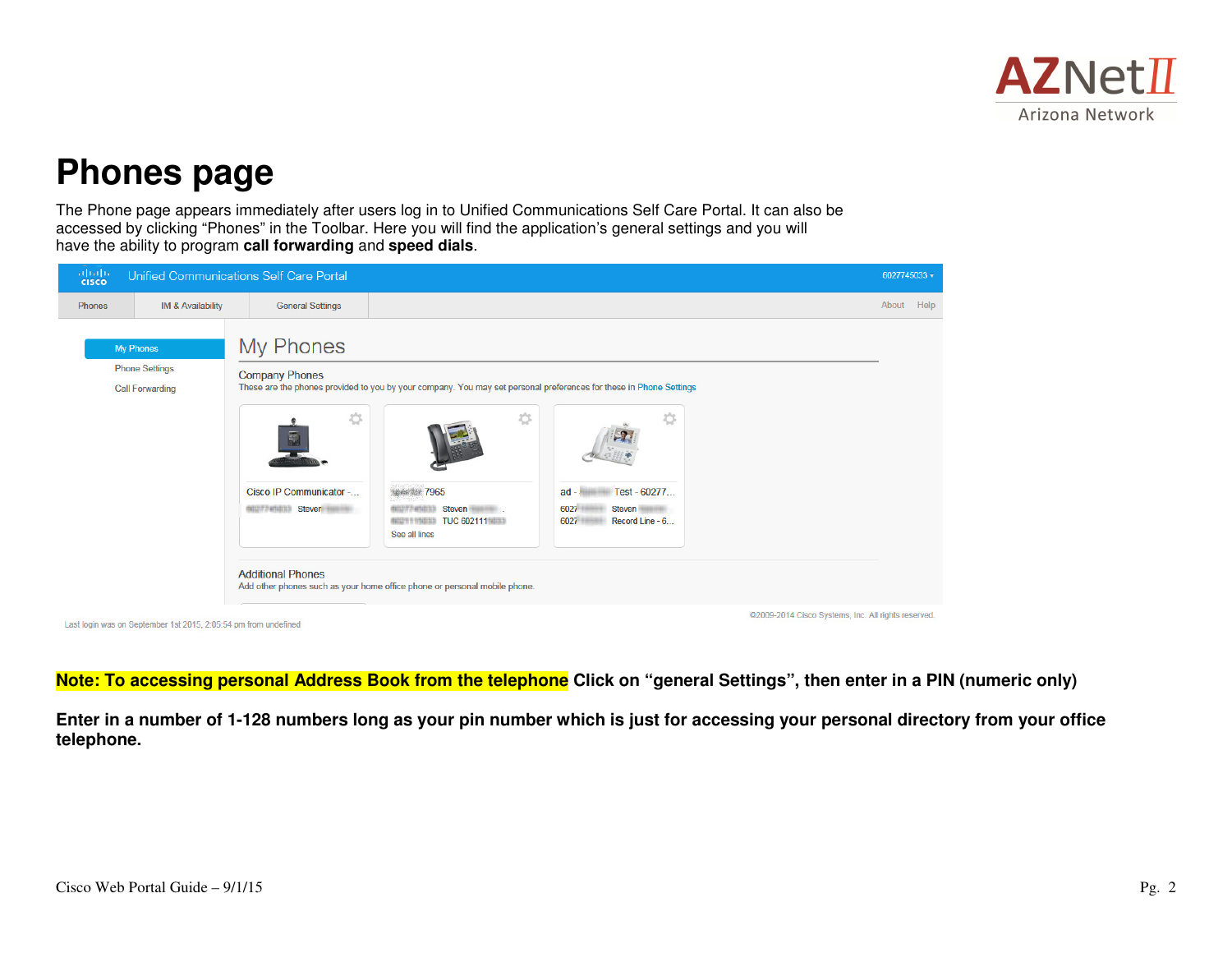

# **Phones page**

The Phone page appears immediately after users log in to Unified Communications Self Care Portal. It can also be accessed by clicking "Phones" in the Toolbar. Here you will find the application's general settings and you will have the ability to program **call forwarding** and **speed dials**.



**Note: To accessing personal Address Book from the telephone Click on "general Settings", then enter in a PIN (numeric only)** 

**Enter in a number of 1-128 numbers long as your pin number which is just for accessing your personal directory from your office telephone.**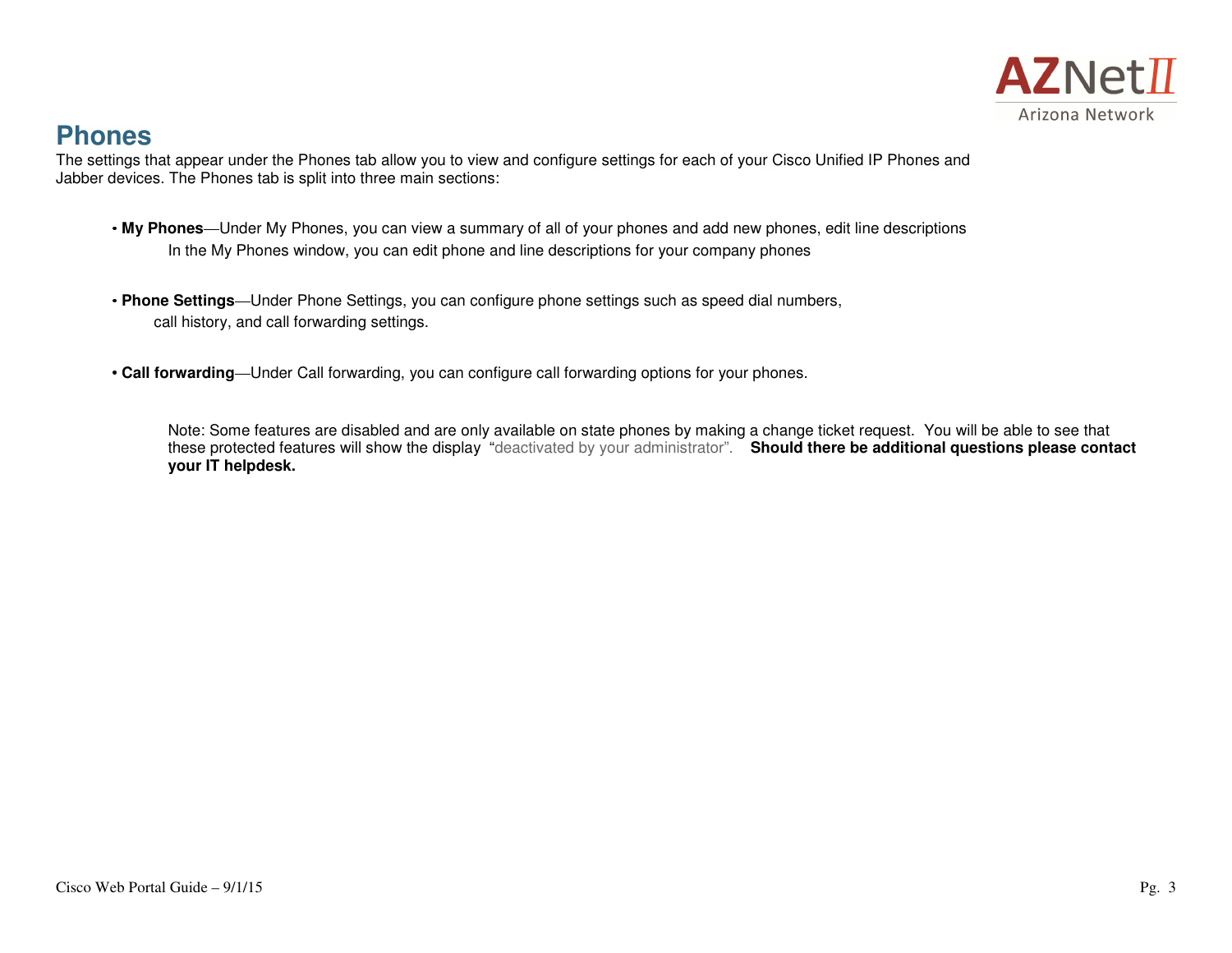

# **Phones**

 The settings that appear under the Phones tab allow you to view and configure settings for each of your Cisco Unified IP Phones and Jabber devices. The Phones tab is split into three main sections:

- **My Phones**—Under My Phones, you can view a summary of all of your phones and add new phones, edit line descriptions In the My Phones window, you can edit phone and line descriptions for your company phones
- **Phone Settings**—Under Phone Settings, you can configure phone settings such as speed dial numbers, call history, and call forwarding settings.
- **Call forwarding**—Under Call forwarding, you can configure call forwarding options for your phones.

Note: Some features are disabled and are only available on state phones by making a change ticket request. You will be able to see that these protected features will show the display "deactivated by your administrator". **Should there be additional questions please contactyour IT helpdesk.**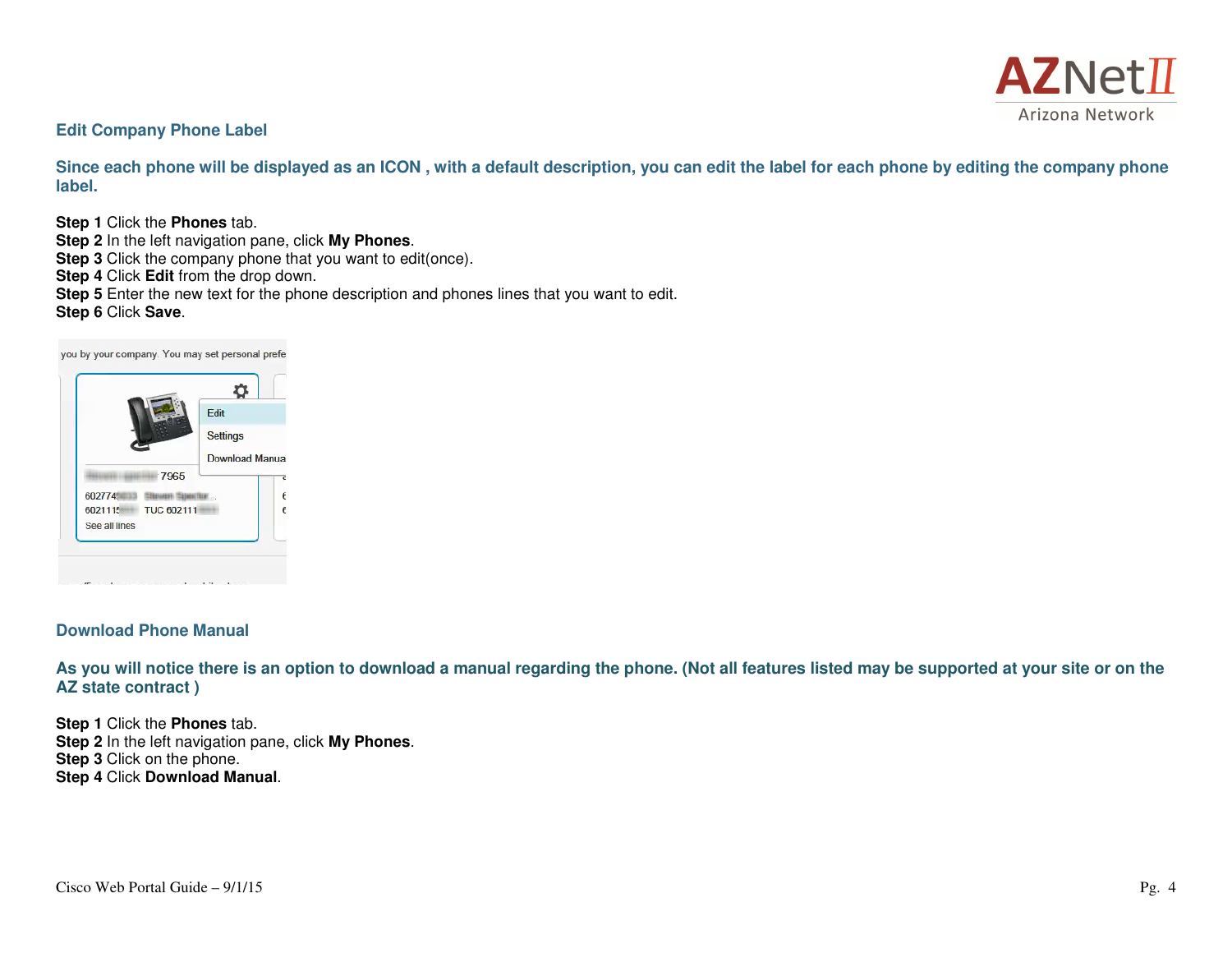

#### **Edit Company Phone Label**

**Since each phone will be displayed as an ICON , with a default description, you can edit the label for each phone by editing the company phone label.** 

**Step 1** Click the **Phones** tab.

- **Step 2** In the left navigation pane, click **My Phones**.
- **Step 3** Click the company phone that you want to edit(once).
- **Step 4** Click **Edit** from the drop down.
- **Step 5** Enter the new text for the phone description and phones lines that you want to edit.
- **Step 6** Click **Save**.

♦. Edit **Settings** Download Manua 7965 6027745 3 Stower Spector  $\epsilon$ 6021115 TUC 602111  $\epsilon$ See all lines support the process of the contribution of the process at the conduct

you by your company. You may set personal prefe

#### **Download Phone Manual**

**As you will notice there is an option to download a manual regarding the phone. (Not all features listed may be supported at your site or on the AZ state contract )** 

**Step 1** Click the **Phones** tab. **Step 2** In the left navigation pane, click **My Phones**. **Step 3** Click on the phone. **Step 4** Click **Download Manual**.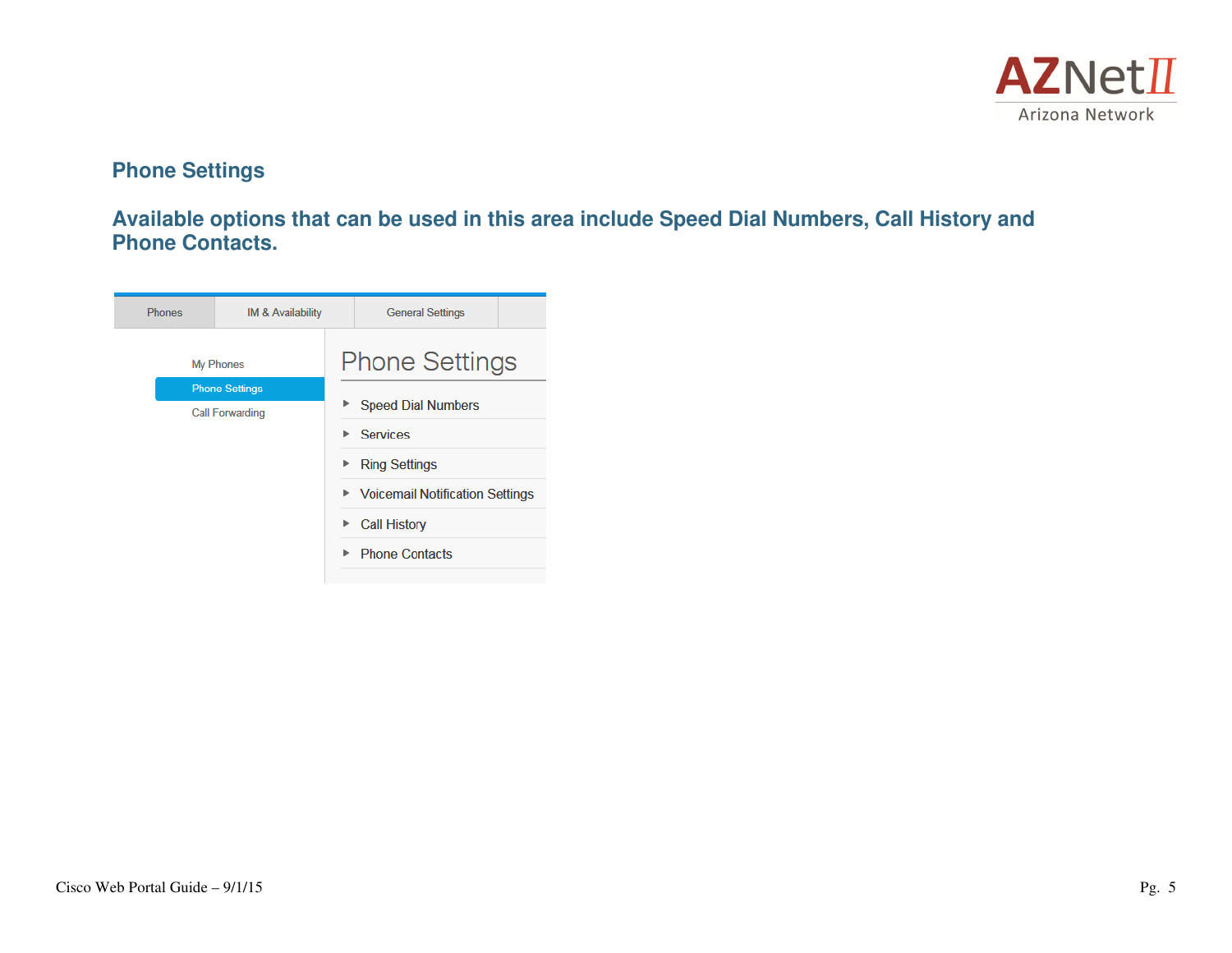

## **Phone Settings**

**Available options that can be used in this area include Speed Dial Numbers, Call History and Phone Contacts.**

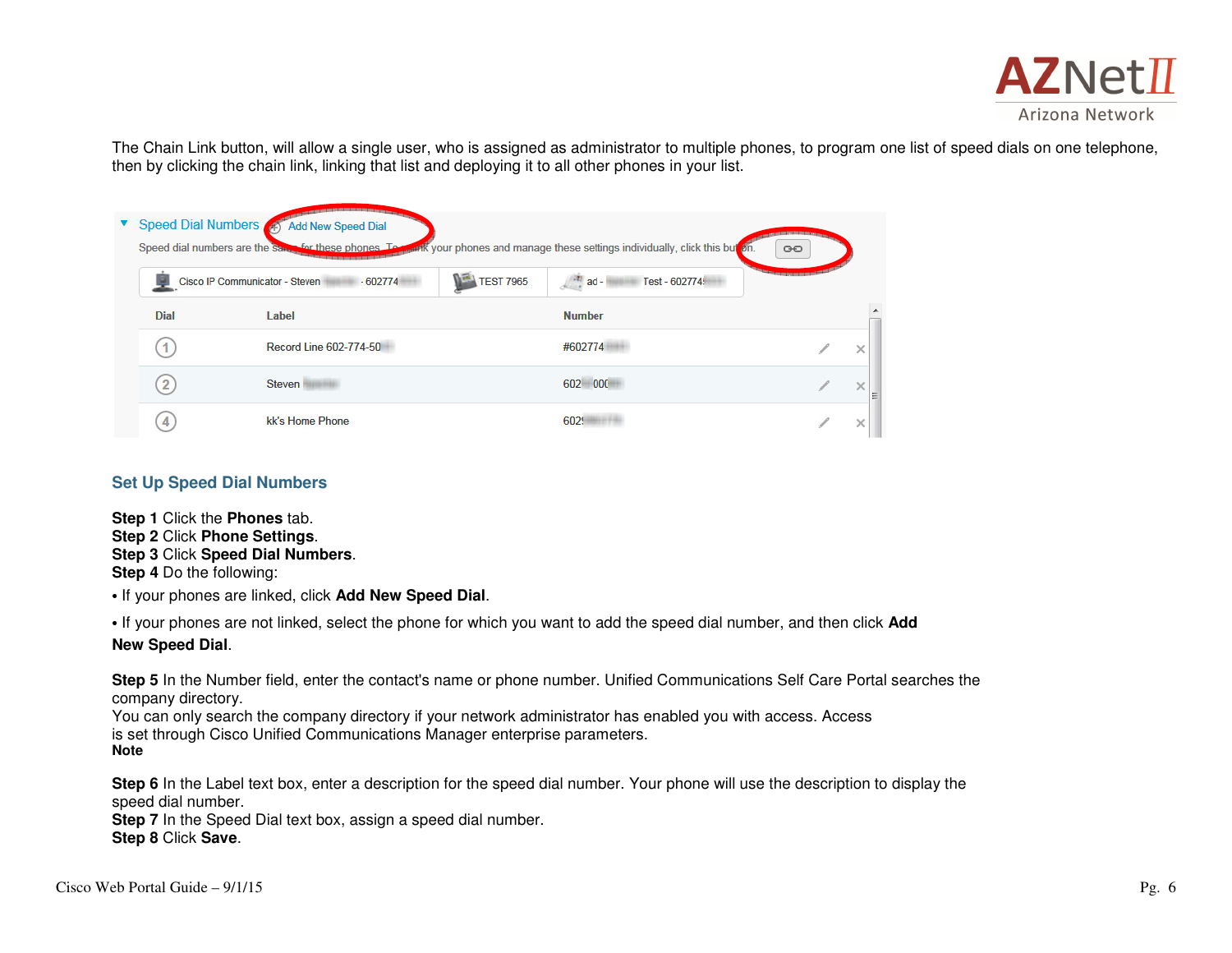

The Chain Link button, will allow a single user, who is assigned as administrator to multiple phones, to program one list of speed dials on one telephone, then by clicking the chain link, linking that list and deploying it to all other phones in your list.

| Speed Dial Numbers | <b>Add New Speed Dial</b><br>Speed dial numbers are the Same for these phones. To- |                  | week your phones and manage these settings individually, click this but on | GO               |  |
|--------------------|------------------------------------------------------------------------------------|------------------|----------------------------------------------------------------------------|------------------|--|
|                    | Cisco IP Communicator - Steven<br>$-602774$                                        | <b>TEST 7965</b> | Test - 602774<br>$\frac{1}{2}$ ad -                                        | 995 998 998 9999 |  |
| <b>Dial</b>        | Label                                                                              |                  | <b>Number</b>                                                              |                  |  |
| 1                  | Record Line 602-774-50                                                             |                  | #602774                                                                    |                  |  |
| $\overline{2}$     | Steven                                                                             |                  | 602 000                                                                    |                  |  |
| 4                  | kk's Home Phone                                                                    |                  | 6029                                                                       |                  |  |

#### **Set Up Speed Dial Numbers**

**Step 1** Click the **Phones** tab. **Step 2** Click **Phone Settings**. **Step 3** Click **Speed Dial Numbers**. **Step 4** Do the following:

• If your phones are linked, click **Add New Speed Dial**.

• If your phones are not linked, select the phone for which you want to add the speed dial number, and then click **Add New Speed Dial**.

**Step 5** In the Number field, enter the contact's name or phone number. Unified Communications Self Care Portal searches the company directory.

 You can only search the company directory if your network administrator has enabled you with access. Access is set through Cisco Unified Communications Manager enterprise parameters. **Note** 

**Step 6** In the Label text box, enter a description for the speed dial number. Your phone will use the description to display the speed dial number.

 **Step 7** In the Speed Dial text box, assign a speed dial number. **Step 8** Click **Save**.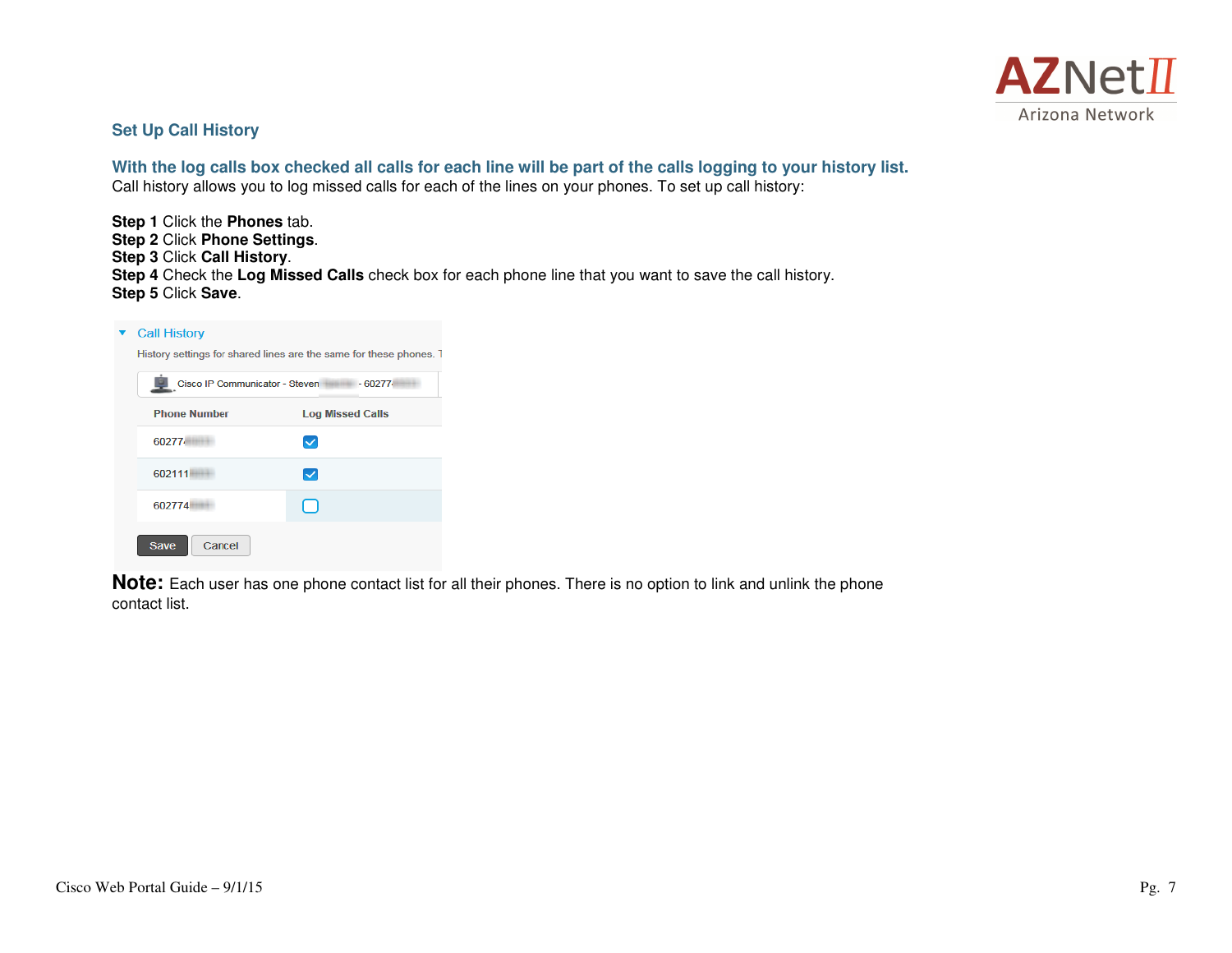

#### **Set Up Call History**

**With the log calls box checked all calls for each line will be part of the calls logging to your history list.** Call history allows you to log missed calls for each of the lines on your phones. To set up call history:

**Step 1** Click the **Phones** tab. **Step 2** Click **Phone Settings**. **Step 3** Click **Call History**. **Step 4** Check the **Log Missed Calls** check box for each phone line that you want to save the call history. **Step 5** Click **Save**.

| <b>Call History</b>                                                |                          |  |  |  |  |
|--------------------------------------------------------------------|--------------------------|--|--|--|--|
| History settings for shared lines are the same for these phones. T |                          |  |  |  |  |
| Cisco IP Communicator - Steven<br>$-60277$                         |                          |  |  |  |  |
| <b>Phone Number</b>                                                | <b>Log Missed Calls</b>  |  |  |  |  |
| 60277                                                              | $\checkmark$             |  |  |  |  |
| 602111                                                             | $\overline{\mathcal{S}}$ |  |  |  |  |
| 602774                                                             |                          |  |  |  |  |
| Cancel<br><b>Save</b>                                              |                          |  |  |  |  |

**Note:** Each user has one phone contact list for all their phones. There is no option to link and unlink the phone contact list.